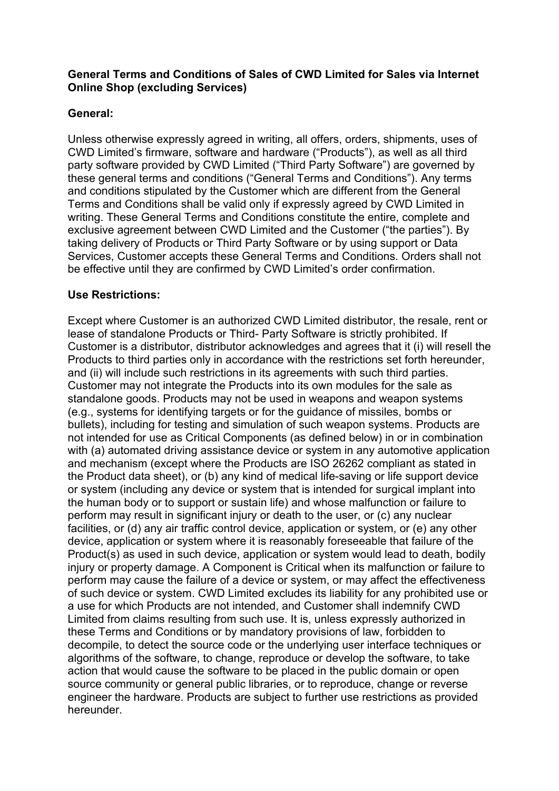# **General Terms and Conditions of Sales of CWD Limited for Sales via Internet Online Shop (excluding Services)**

# **General:**

Unless otherwise expressly agreed in writing, all offers, orders, shipments, uses of CWD Limited's firmware, software and hardware ("Products"), as well as all third party software provided by CWD Limited ("Third Party Software") are governed by these general terms and conditions ("General Terms and Conditions"). Any terms and conditions stipulated by the Customer which are different from the General Terms and Conditions shall be valid only if expressly agreed by CWD Limited in writing. These General Terms and Conditions constitute the entire, complete and exclusive agreement between CWD Limited and the Customer ("the parties"). By taking delivery of Products or Third Party Software or by using support or Data Services, Customer accepts these General Terms and Conditions. Orders shall not be effective until they are confirmed by CWD Limited's order confirmation.

# **Use Restrictions:**

Except where Customer is an authorized CWD Limited distributor, the resale, rent or lease of standalone Products or Third- Party Software is strictly prohibited. If Customer is a distributor, distributor acknowledges and agrees that it (i) will resell the Products to third parties only in accordance with the restrictions set forth hereunder, and (ii) will include such restrictions in its agreements with such third parties. Customer may not integrate the Products into its own modules for the sale as standalone goods. Products may not be used in weapons and weapon systems (e.g., systems for identifying targets or for the guidance of missiles, bombs or bullets), including for testing and simulation of such weapon systems. Products are not intended for use as Critical Components (as defined below) in or in combination with (a) automated driving assistance device or system in any automotive application and mechanism (except where the Products are ISO 26262 compliant as stated in the Product data sheet), or (b) any kind of medical life-saving or life support device or system (including any device or system that is intended for surgical implant into the human body or to support or sustain life) and whose malfunction or failure to perform may result in significant injury or death to the user, or (c) any nuclear facilities, or (d) any air traffic control device, application or system, or (e) any other device, application or system where it is reasonably foreseeable that failure of the Product(s) as used in such device, application or system would lead to death, bodily injury or property damage. A Component is Critical when its malfunction or failure to perform may cause the failure of a device or system, or may affect the effectiveness of such device or system. CWD Limited excludes its liability for any prohibited use or a use for which Products are not intended, and Customer shall indemnify CWD Limited from claims resulting from such use. It is, unless expressly authorized in these Terms and Conditions or by mandatory provisions of law, forbidden to decompile, to detect the source code or the underlying user interface techniques or algorithms of the software, to change, reproduce or develop the software, to take action that would cause the software to be placed in the public domain or open source community or general public libraries, or to reproduce, change or reverse engineer the hardware. Products are subject to further use restrictions as provided hereunder.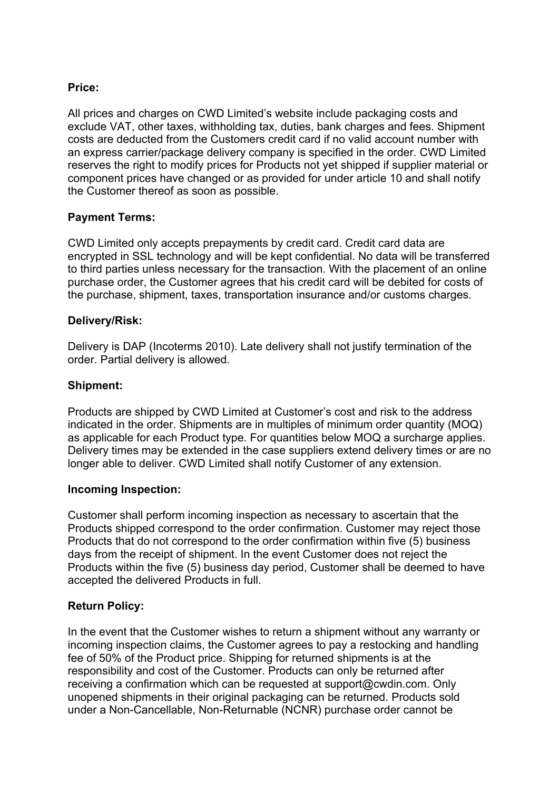## **Price:**

All prices and charges on CWD Limited's website include packaging costs and exclude VAT, other taxes, withholding tax, duties, bank charges and fees. Shipment costs are deducted from the Customers credit card if no valid account number with an express carrier/package delivery company is specified in the order. CWD Limited reserves the right to modify prices for Products not yet shipped if supplier material or component prices have changed or as provided for under article 10 and shall notify the Customer thereof as soon as possible.

## **Payment Terms:**

CWD Limited only accepts prepayments by credit card. Credit card data are encrypted in SSL technology and will be kept confidential. No data will be transferred to third parties unless necessary for the transaction. With the placement of an online purchase order, the Customer agrees that his credit card will be debited for costs of the purchase, shipment, taxes, transportation insurance and/or customs charges.

## **Delivery/Risk:**

Delivery is DAP (Incoterms 2010). Late delivery shall not justify termination of the order. Partial delivery is allowed.

#### **Shipment:**

Products are shipped by CWD Limited at Customer's cost and risk to the address indicated in the order. Shipments are in multiples of minimum order quantity (MOQ) as applicable for each Product type. For quantities below MOQ a surcharge applies. Delivery times may be extended in the case suppliers extend delivery times or are no longer able to deliver. CWD Limited shall notify Customer of any extension.

## **Incoming Inspection:**

Customer shall perform incoming inspection as necessary to ascertain that the Products shipped correspond to the order confirmation. Customer may reject those Products that do not correspond to the order confirmation within five (5) business days from the receipt of shipment. In the event Customer does not reject the Products within the five (5) business day period, Customer shall be deemed to have accepted the delivered Products in full.

## **Return Policy:**

In the event that the Customer wishes to return a shipment without any warranty or incoming inspection claims, the Customer agrees to pay a restocking and handling fee of 50% of the Product price. Shipping for returned shipments is at the responsibility and cost of the Customer. Products can only be returned after receiving a confirmation which can be requested at support@cwdin.com. Only unopened shipments in their original packaging can be returned. Products sold under a Non-Cancellable, Non-Returnable (NCNR) purchase order cannot be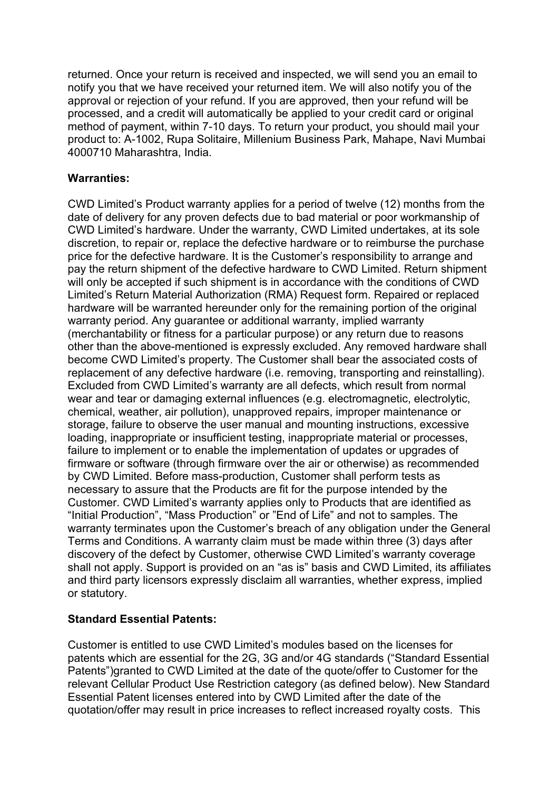returned. Once your return is received and inspected, we will send you an email to notify you that we have received your returned item. We will also notify you of the approval or rejection of your refund. If you are approved, then your refund will be processed, and a credit will automatically be applied to your credit card or original method of payment, within 7-10 days. To return your product, you should mail your product to: A-1002, Rupa Solitaire, Millenium Business Park, Mahape, Navi Mumbai 4000710 Maharashtra, India.

#### **Warranties:**

CWD Limited's Product warranty applies for a period of twelve (12) months from the date of delivery for any proven defects due to bad material or poor workmanship of CWD Limited's hardware. Under the warranty, CWD Limited undertakes, at its sole discretion, to repair or, replace the defective hardware or to reimburse the purchase price for the defective hardware. It is the Customer's responsibility to arrange and pay the return shipment of the defective hardware to CWD Limited. Return shipment will only be accepted if such shipment is in accordance with the conditions of CWD Limited's Return Material Authorization (RMA) Request form. Repaired or replaced hardware will be warranted hereunder only for the remaining portion of the original warranty period. Any guarantee or additional warranty, implied warranty (merchantability or fitness for a particular purpose) or any return due to reasons other than the above-mentioned is expressly excluded. Any removed hardware shall become CWD Limited's property. The Customer shall bear the associated costs of replacement of any defective hardware (i.e. removing, transporting and reinstalling). Excluded from CWD Limited's warranty are all defects, which result from normal wear and tear or damaging external influences (e.g. electromagnetic, electrolytic, chemical, weather, air pollution), unapproved repairs, improper maintenance or storage, failure to observe the user manual and mounting instructions, excessive loading, inappropriate or insufficient testing, inappropriate material or processes, failure to implement or to enable the implementation of updates or upgrades of firmware or software (through firmware over the air or otherwise) as recommended by CWD Limited. Before mass-production, Customer shall perform tests as necessary to assure that the Products are fit for the purpose intended by the Customer. CWD Limited's warranty applies only to Products that are identified as "Initial Production", "Mass Production" or "End of Life" and not to samples. The warranty terminates upon the Customer's breach of any obligation under the General Terms and Conditions. A warranty claim must be made within three (3) days after discovery of the defect by Customer, otherwise CWD Limited's warranty coverage shall not apply. Support is provided on an "as is" basis and CWD Limited, its affiliates and third party licensors expressly disclaim all warranties, whether express, implied or statutory.

## **Standard Essential Patents:**

Customer is entitled to use CWD Limited's modules based on the licenses for patents which are essential for the 2G, 3G and/or 4G standards ("Standard Essential Patents")granted to CWD Limited at the date of the quote/offer to Customer for the relevant Cellular Product Use Restriction category (as defined below). New Standard Essential Patent licenses entered into by CWD Limited after the date of the quotation/offer may result in price increases to reflect increased royalty costs. This